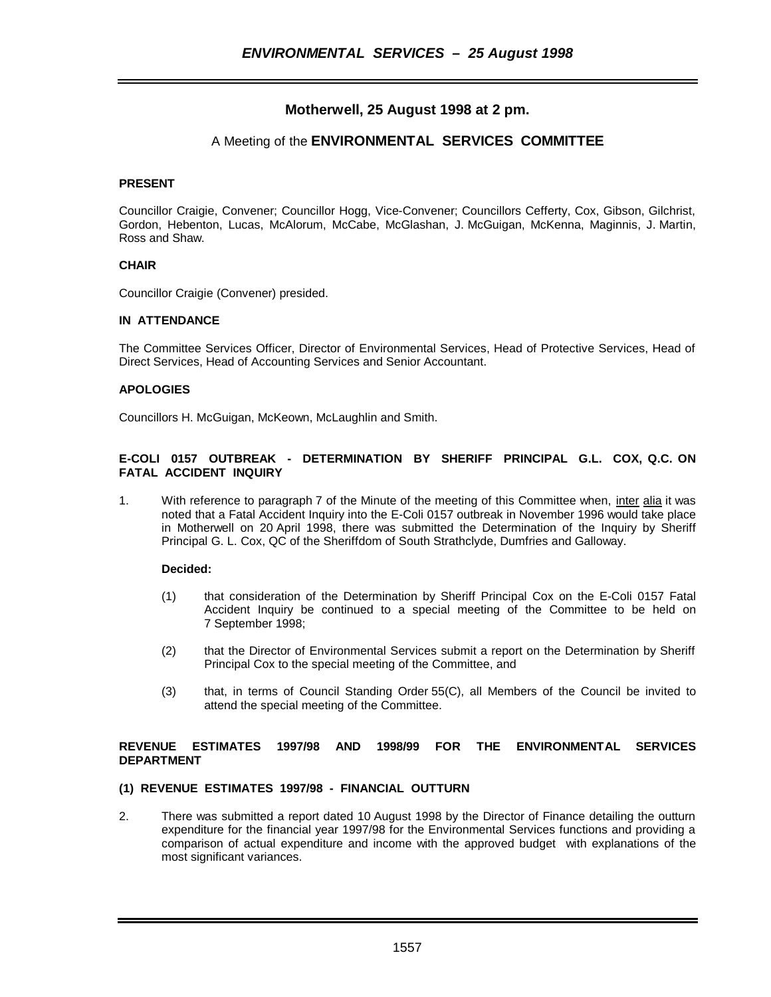# **Motherwell, 25 August 1998 at 2 pm.**

# A Meeting of the **ENVIRONMENTAL SERVICES COMMITTEE**

# **PRESENT**

Councillor Craigie, Convener; Councillor Hogg, Vice-Convener; Councillors Cefferty, Cox, Gibson, Gilchrist, Gordon, Hebenton, Lucas, McAlorum, McCabe, McGlashan, J. McGuigan, McKenna, Maginnis, J. Martin, Ross and Shaw.

# **CHAIR**

Councillor Craigie (Convener) presided.

# **IN ATTENDANCE**

The Committee Services Officer, Director of Environmental Services, Head of Protective Services, Head of Direct Services, Head of Accounting Services and Senior Accountant.

# **APOLOGIES**

Councillors H. McGuigan, McKeown, McLaughlin and Smith.

# **E-COLI 0157 OUTBREAK - DETERMINATION BY SHERIFF PRINCIPAL G.L. COX, Q.C. ON FATAL ACCIDENT INQUIRY**

1. With reference to paragraph 7 of the Minute of the meeting of this Committee when, inter alia it was noted that a Fatal Accident Inquiry into the E-Coli 0157 outbreak in November 1996 would take place in Motherwell on 20 April 1998, there was submitted the Determination of the Inquiry by Sheriff Principal G. L. Cox, QC of the Sheriffdom of South Strathclyde, Dumfries and Galloway.

# **Decided:**

- (1) that consideration of the Determination by Sheriff Principal Cox on the E-Coli 0157 Fatal Accident Inquiry be continued to a special meeting of the Committee to be held on 7 September 1998;
- (2) that the Director of Environmental Services submit a report on the Determination by Sheriff Principal Cox to the special meeting of the Committee, and
- (3) that, in terms of Council Standing Order 55(C), all Members of the Council be invited to attend the special meeting of the Committee.

# **REVENUE ESTIMATES 1997/98 AND 1998/99 FOR THE ENVIRONMENTAL SERVICES DEPARTMENT**

# **(1) REVENUE ESTIMATES 1997/98 - FINANCIAL OUTTURN**

2. There was submitted a report dated 10 August 1998 by the Director of Finance detailing the outturn expenditure for the financial year 1997/98 for the Environmental Services functions and providing a comparison of actual expenditure and income with the approved budget with explanations of the most significant variances.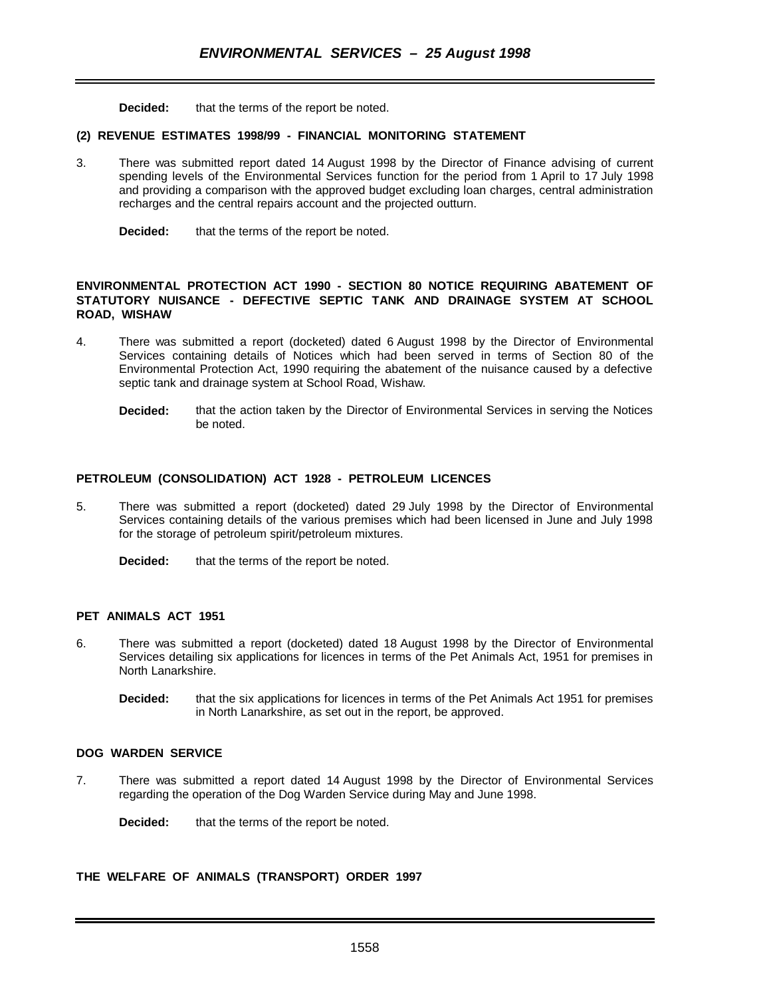**Decided:** that the terms of the report be noted.

### **(2) REVENUE ESTIMATES 1998/99 - FINANCIAL MONITORING STATEMENT**

3. There was submitted report dated 14 August 1998 by the Director of Finance advising of current spending levels of the Environmental Services function for the period from 1 April to 17 July 1998 and providing a comparison with the approved budget excluding loan charges, central administration recharges and the central repairs account and the projected outturn.

**Decided:** that the terms of the report be noted.

### **ENVIRONMENTAL PROTECTION ACT 1990 - SECTION 80 NOTICE REQUIRING ABATEMENT OF STATUTORY NUISANCE - DEFECTIVE SEPTIC TANK AND DRAINAGE SYSTEM AT SCHOOL ROAD, WISHAW**

- 4. There was submitted a report (docketed) dated 6 August 1998 by the Director of Environmental Services containing details of Notices which had been served in terms of Section 80 of the Environmental Protection Act, 1990 requiring the abatement of the nuisance caused by a defective septic tank and drainage system at School Road, Wishaw.
	- **Decided:** that the action taken by the Director of Environmental Services in serving the Notices be noted.

### **PETROLEUM (CONSOLIDATION) ACT 1928 - PETROLEUM LICENCES**

5. There was submitted a report (docketed) dated 29 July 1998 by the Director of Environmental Services containing details of the various premises which had been licensed in June and July 1998 for the storage of petroleum spirit/petroleum mixtures.

**Decided:** that the terms of the report be noted.

# **PET ANIMALS ACT 1951**

- 6. There was submitted a report (docketed) dated 18 August 1998 by the Director of Environmental Services detailing six applications for licences in terms of the Pet Animals Act, 1951 for premises in North Lanarkshire.
	- **Decided:** that the six applications for licences in terms of the Pet Animals Act 1951 for premises in North Lanarkshire, as set out in the report, be approved.

### **DOG WARDEN SERVICE**

7. There was submitted a report dated 14 August 1998 by the Director of Environmental Services regarding the operation of the Dog Warden Service during May and June 1998.

**Decided:** that the terms of the report be noted.

### **THE WELFARE OF ANIMALS (TRANSPORT) ORDER 1997**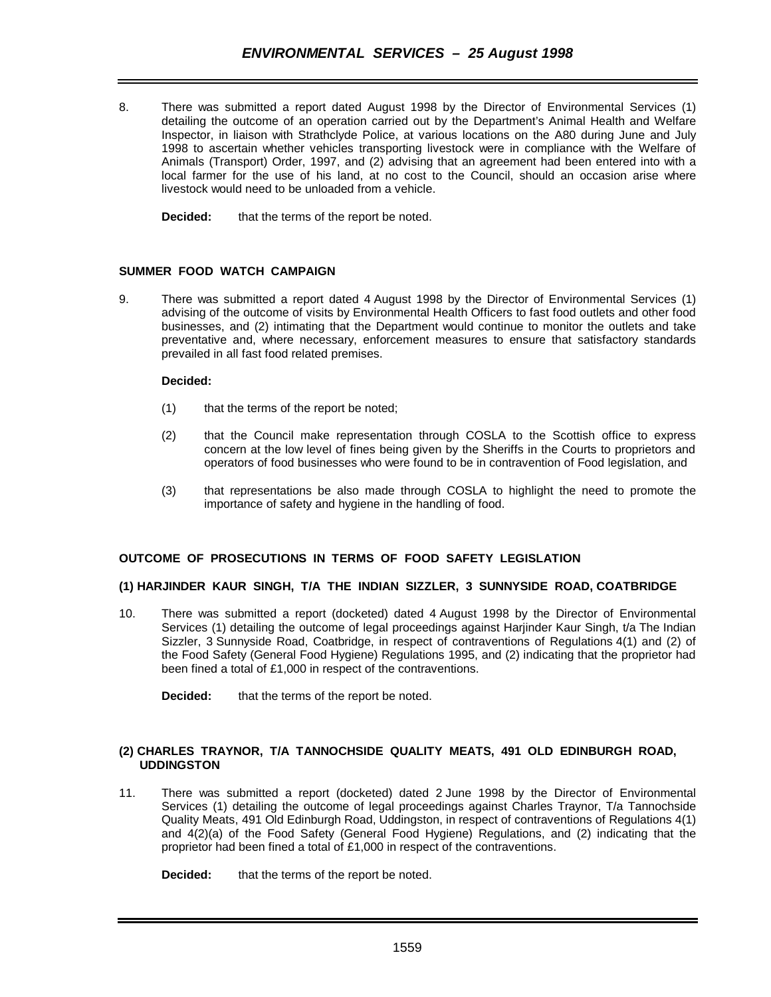8. There was submitted a report dated August 1998 by the Director of Environmental Services (1) detailing the outcome of an operation carried out by the Department's Animal Health and Welfare Inspector, in liaison with Strathclyde Police, at various locations on the A80 during June and July 1998 to ascertain whether vehicles transporting livestock were in compliance with the Welfare of Animals (Transport) Order, 1997, and (2) advising that an agreement had been entered into with a local farmer for the use of his land, at no cost to the Council, should an occasion arise where livestock would need to be unloaded from a vehicle.

**Decided:** that the terms of the report be noted.

# **SUMMER FOOD WATCH CAMPAIGN**

9. There was submitted a report dated 4 August 1998 by the Director of Environmental Services (1) advising of the outcome of visits by Environmental Health Officers to fast food outlets and other food businesses, and (2) intimating that the Department would continue to monitor the outlets and take preventative and, where necessary, enforcement measures to ensure that satisfactory standards prevailed in all fast food related premises.

# **Decided:**

- (1) that the terms of the report be noted;
- (2) that the Council make representation through COSLA to the Scottish office to express concern at the low level of fines being given by the Sheriffs in the Courts to proprietors and operators of food businesses who were found to be in contravention of Food legislation, and
- (3) that representations be also made through COSLA to highlight the need to promote the importance of safety and hygiene in the handling of food.

# **OUTCOME OF PROSECUTIONS IN TERMS OF FOOD SAFETY LEGISLATION**

# **(1) HARJINDER KAUR SINGH, T/A THE INDIAN SIZZLER, 3 SUNNYSIDE ROAD, COATBRIDGE**

10. There was submitted a report (docketed) dated 4 August 1998 by the Director of Environmental Services (1) detailing the outcome of legal proceedings against Harjinder Kaur Singh, t/a The Indian Sizzler, 3 Sunnyside Road, Coatbridge, in respect of contraventions of Regulations 4(1) and (2) of the Food Safety (General Food Hygiene) Regulations 1995, and (2) indicating that the proprietor had been fined a total of £1,000 in respect of the contraventions.

**Decided:** that the terms of the report be noted.

# **(2) CHARLES TRAYNOR, T/A TANNOCHSIDE QUALITY MEATS, 491 OLD EDINBURGH ROAD, UDDINGSTON**

11. There was submitted a report (docketed) dated 2 June 1998 by the Director of Environmental Services (1) detailing the outcome of legal proceedings against Charles Traynor, T/a Tannochside Quality Meats, 491 Old Edinburgh Road, Uddingston, in respect of contraventions of Regulations 4(1) and 4(2)(a) of the Food Safety (General Food Hygiene) Regulations, and (2) indicating that the proprietor had been fined a total of £1,000 in respect of the contraventions.

**Decided:** that the terms of the report be noted.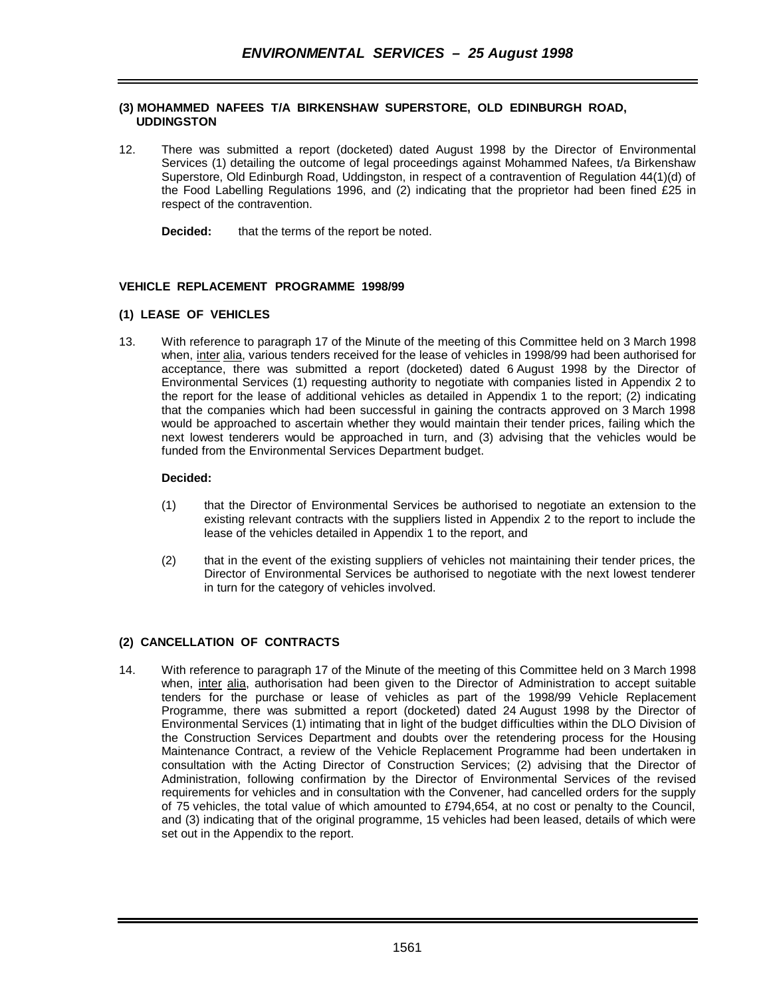# **(3) MOHAMMED NAFEES T/A BIRKENSHAW SUPERSTORE, OLD EDINBURGH ROAD, UDDINGSTON**

- 12. There was submitted a report (docketed) dated August 1998 by the Director of Environmental Services (1) detailing the outcome of legal proceedings against Mohammed Nafees, t/a Birkenshaw Superstore, Old Edinburgh Road, Uddingston, in respect of a contravention of Regulation 44(1)(d) of the Food Labelling Regulations 1996, and (2) indicating that the proprietor had been fined £25 in respect of the contravention.
	- **Decided:** that the terms of the report be noted.

# **VEHICLE REPLACEMENT PROGRAMME 1998/99**

# **(1) LEASE OF VEHICLES**

13. With reference to paragraph 17 of the Minute of the meeting of this Committee held on 3 March 1998 when, inter alia, various tenders received for the lease of vehicles in 1998/99 had been authorised for acceptance, there was submitted a report (docketed) dated 6 August 1998 by the Director of Environmental Services (1) requesting authority to negotiate with companies listed in Appendix 2 to the report for the lease of additional vehicles as detailed in Appendix 1 to the report; (2) indicating that the companies which had been successful in gaining the contracts approved on 3 March 1998 would be approached to ascertain whether they would maintain their tender prices, failing which the next lowest tenderers would be approached in turn, and (3) advising that the vehicles would be funded from the Environmental Services Department budget.

# **Decided:**

- (1) that the Director of Environmental Services be authorised to negotiate an extension to the existing relevant contracts with the suppliers listed in Appendix 2 to the report to include the lease of the vehicles detailed in Appendix 1 to the report, and
- (2) that in the event of the existing suppliers of vehicles not maintaining their tender prices, the Director of Environmental Services be authorised to negotiate with the next lowest tenderer in turn for the category of vehicles involved.

# **(2) CANCELLATION OF CONTRACTS**

14. With reference to paragraph 17 of the Minute of the meeting of this Committee held on 3 March 1998 when, inter alia, authorisation had been given to the Director of Administration to accept suitable tenders for the purchase or lease of vehicles as part of the 1998/99 Vehicle Replacement Programme, there was submitted a report (docketed) dated 24 August 1998 by the Director of Environmental Services (1) intimating that in light of the budget difficulties within the DLO Division of the Construction Services Department and doubts over the retendering process for the Housing Maintenance Contract, a review of the Vehicle Replacement Programme had been undertaken in consultation with the Acting Director of Construction Services; (2) advising that the Director of Administration, following confirmation by the Director of Environmental Services of the revised requirements for vehicles and in consultation with the Convener, had cancelled orders for the supply of 75 vehicles, the total value of which amounted to £794,654, at no cost or penalty to the Council, and (3) indicating that of the original programme, 15 vehicles had been leased, details of which were set out in the Appendix to the report.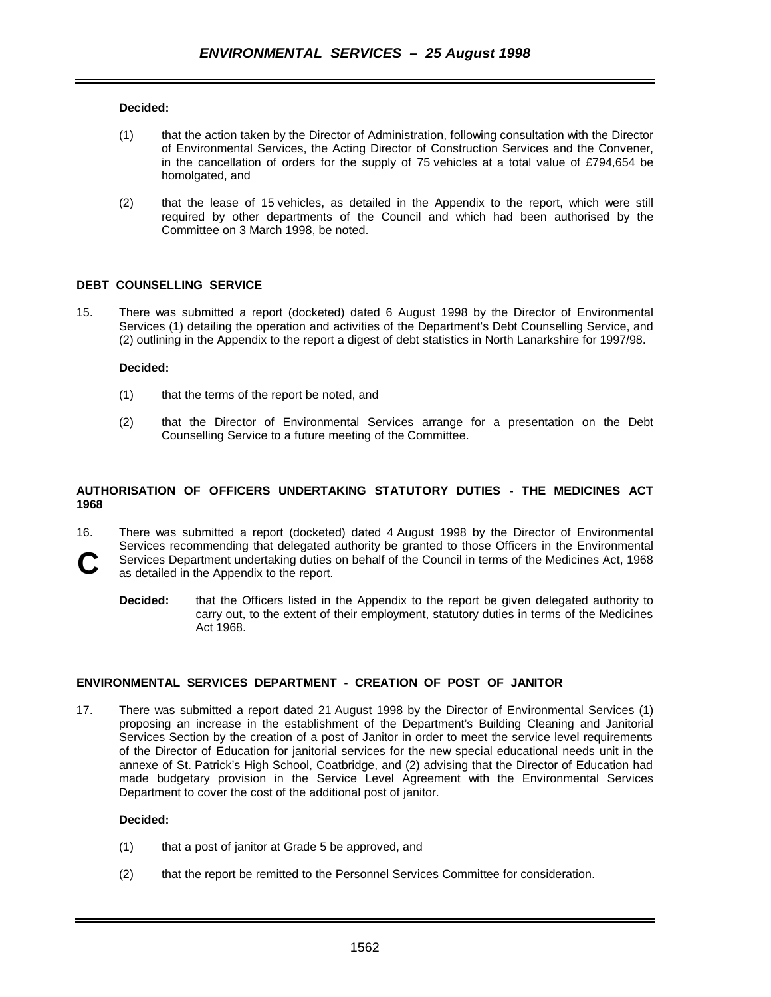### **Decided:**

- (1) that the action taken by the Director of Administration, following consultation with the Director of Environmental Services, the Acting Director of Construction Services and the Convener, in the cancellation of orders for the supply of 75 vehicles at a total value of £794,654 be homolgated, and
- (2) that the lease of 15 vehicles, as detailed in the Appendix to the report, which were still required by other departments of the Council and which had been authorised by the Committee on 3 March 1998, be noted.

### **DEBT COUNSELLING SERVICE**

15. There was submitted a report (docketed) dated 6 August 1998 by the Director of Environmental Services (1) detailing the operation and activities of the Department's Debt Counselling Service, and (2) outlining in the Appendix to the report a digest of debt statistics in North Lanarkshire for 1997/98.

### **Decided:**

- (1) that the terms of the report be noted, and
- (2) that the Director of Environmental Services arrange for a presentation on the Debt Counselling Service to a future meeting of the Committee.

# **AUTHORISATION OF OFFICERS UNDERTAKING STATUTORY DUTIES - THE MEDICINES ACT 1968**

16. There was submitted a report (docketed) dated 4 August 1998 by the Director of Environmental Services recommending that delegated authority be granted to those Officers in the Environmental Services Department undertaking duties on behalf of the Council in terms of the Medicines Act, 1968 **C**

as detailed in the Appendix to the report.

**Decided:** that the Officers listed in the Appendix to the report be given delegated authority to carry out, to the extent of their employment, statutory duties in terms of the Medicines Act 1968.

# **ENVIRONMENTAL SERVICES DEPARTMENT - CREATION OF POST OF JANITOR**

17. There was submitted a report dated 21 August 1998 by the Director of Environmental Services (1) proposing an increase in the establishment of the Department's Building Cleaning and Janitorial Services Section by the creation of a post of Janitor in order to meet the service level requirements of the Director of Education for janitorial services for the new special educational needs unit in the annexe of St. Patrick's High School, Coatbridge, and (2) advising that the Director of Education had made budgetary provision in the Service Level Agreement with the Environmental Services Department to cover the cost of the additional post of janitor.

# **Decided:**

- (1) that a post of janitor at Grade 5 be approved, and
- (2) that the report be remitted to the Personnel Services Committee for consideration.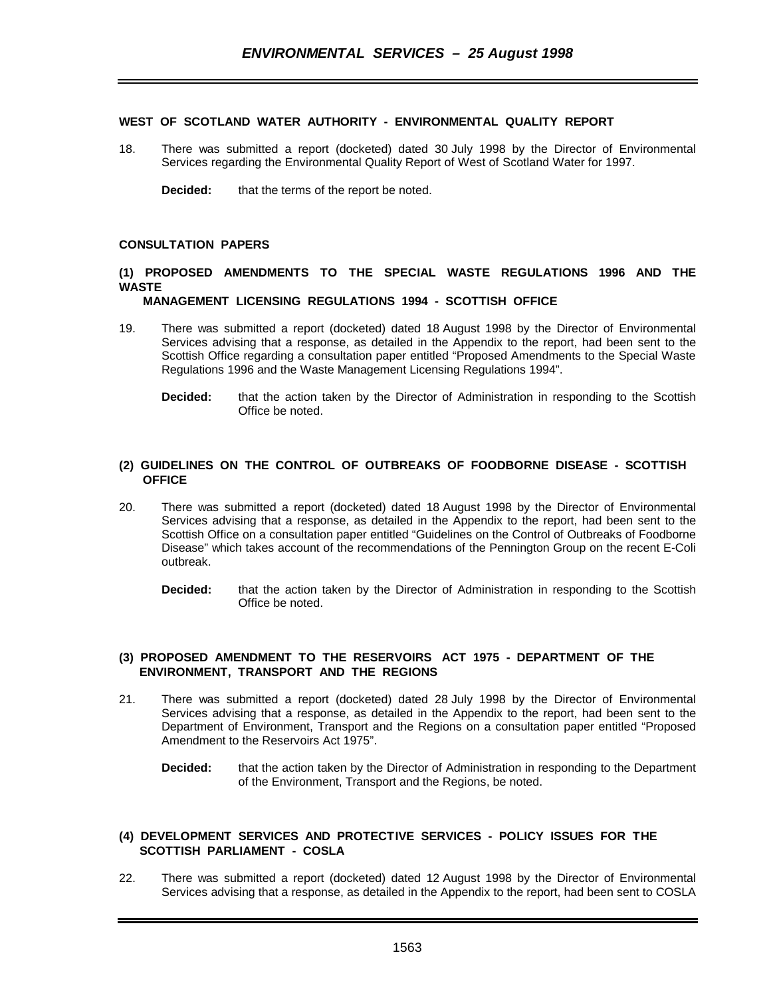### **WEST OF SCOTLAND WATER AUTHORITY - ENVIRONMENTAL QUALITY REPORT**

18. There was submitted a report (docketed) dated 30 July 1998 by the Director of Environmental Services regarding the Environmental Quality Report of West of Scotland Water for 1997.

**Decided:** that the terms of the report be noted.

### **CONSULTATION PAPERS**

# **(1) PROPOSED AMENDMENTS TO THE SPECIAL WASTE REGULATIONS 1996 AND THE WASTE**

### **MANAGEMENT LICENSING REGULATIONS 1994 - SCOTTISH OFFICE**

- 19. There was submitted a report (docketed) dated 18 August 1998 by the Director of Environmental Services advising that a response, as detailed in the Appendix to the report, had been sent to the Scottish Office regarding a consultation paper entitled "Proposed Amendments to the Special Waste Regulations 1996 and the Waste Management Licensing Regulations 1994".
	- **Decided:** that the action taken by the Director of Administration in responding to the Scottish Office be noted.

### **(2) GUIDELINES ON THE CONTROL OF OUTBREAKS OF FOODBORNE DISEASE - SCOTTISH OFFICE**

- 20. There was submitted a report (docketed) dated 18 August 1998 by the Director of Environmental Services advising that a response, as detailed in the Appendix to the report, had been sent to the Scottish Office on a consultation paper entitled "Guidelines on the Control of Outbreaks of Foodborne Disease" which takes account of the recommendations of the Pennington Group on the recent E-Coli outbreak.
	- **Decided:** that the action taken by the Director of Administration in responding to the Scottish Office be noted.

### **(3) PROPOSED AMENDMENT TO THE RESERVOIRS ACT 1975 - DEPARTMENT OF THE ENVIRONMENT, TRANSPORT AND THE REGIONS**

- 21. There was submitted a report (docketed) dated 28 July 1998 by the Director of Environmental Services advising that a response, as detailed in the Appendix to the report, had been sent to the Department of Environment, Transport and the Regions on a consultation paper entitled "Proposed Amendment to the Reservoirs Act 1975".
	- **Decided:** that the action taken by the Director of Administration in responding to the Department of the Environment, Transport and the Regions, be noted.

### **(4) DEVELOPMENT SERVICES AND PROTECTIVE SERVICES - POLICY ISSUES FOR THE SCOTTISH PARLIAMENT - COSLA**

22. There was submitted a report (docketed) dated 12 August 1998 by the Director of Environmental Services advising that a response, as detailed in the Appendix to the report, had been sent to COSLA